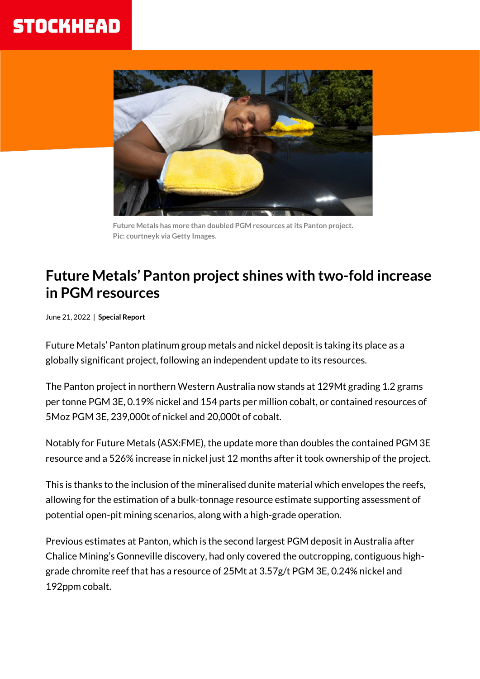## **STOCKHEAD**



 **Future Metals has more than doubled PGM resources at its Panton project. Pic: courtneyk via Getty Images.**

## **Future Metals' Panton project shines with two-fold increase in PGM resources**

June 21, 2022 | **Special Report**

Future Metals' Panton platinum group metals and nickel deposit is taking its place as a globally significant project, following an independent update to its resources.

The Panton project in northern Western Australia now stands at 129Mt grading 1.2 grams per tonne PGM 3E, 0.19% nickel and 154 parts per million cobalt, or contained resources of 5Moz PGM 3E, 239,000t of nickel and 20,000t of cobalt.

Notably for Future Metals (ASX:FME), the update more than doubles the contained PGM 3E resource and a 526% increase in nickel just 12 months after it took ownership of the project.

This is thanks to the inclusion of the mineralised dunite material which envelopes the reefs, allowing for the estimation of a bulk-tonnage resource estimate supporting assessment of potential open-pit mining scenarios, along with a high-grade operation.

Previous estimates at Panton, which is the second largest PGM deposit in Australia after Chalice Mining's Gonneville discovery, had only covered the outcropping, contiguous highgrade chromite reef that has a resource of 25Mt at 3.57g/t PGM 3E, 0.24% nickel and 192ppm cobalt.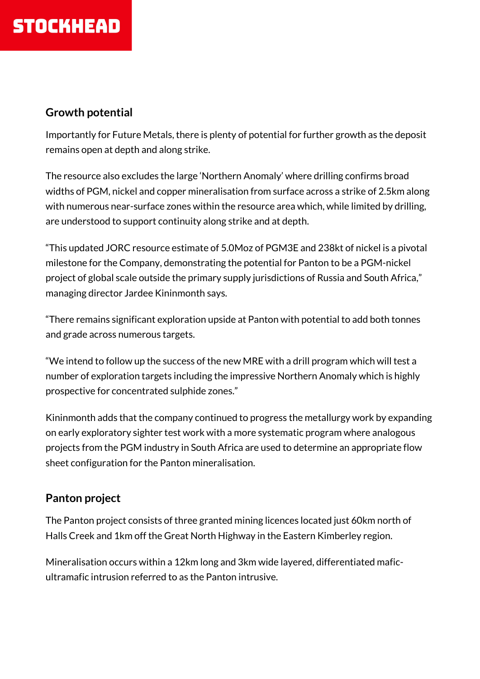## **Growth potential**

Importantly for Future Metals, there is plenty of potential for further growth as the deposit remains open at depth and along strike.

The resource also excludes the large 'Northern Anomaly' where drilling confirms broad widths of PGM, nickel and copper mineralisation from surface across a strike of 2.5km along with numerous near-surface zones within the resource area which, while limited by drilling, are understood to support continuity along strike and at depth.

"This updated JORC resource estimate of 5.0Moz of PGM3E and 238kt of nickel is a pivotal milestone for the Company, demonstrating the potential for Panton to be a PGM-nickel project of global scale outside the primary supply jurisdictions of Russia and South Africa," managing director Jardee Kininmonth says.

"There remains significant exploration upside at Panton with potential to add both tonnes and grade across numerous targets.

"We intend to follow up the success of the new MRE with a drill program which will test a number of exploration targets including the impressive Northern Anomaly which is highly prospective for concentrated sulphide zones."

Kininmonth adds that the company continued to progress the metallurgy work by expanding on early exploratory sighter test work with a more systematic program where analogous projects from the PGM industry in South Africa are used to determine an appropriate flow sheet configuration for the Panton mineralisation.

## **Panton project**

The Panton project consists of three granted mining licences located just 60km north of Halls Creek and 1km off the Great North Highway in the Eastern Kimberley region.

Mineralisation occurs within a 12km long and 3km wide layered, differentiated maficultramafic intrusion referred to as the Panton intrusive.